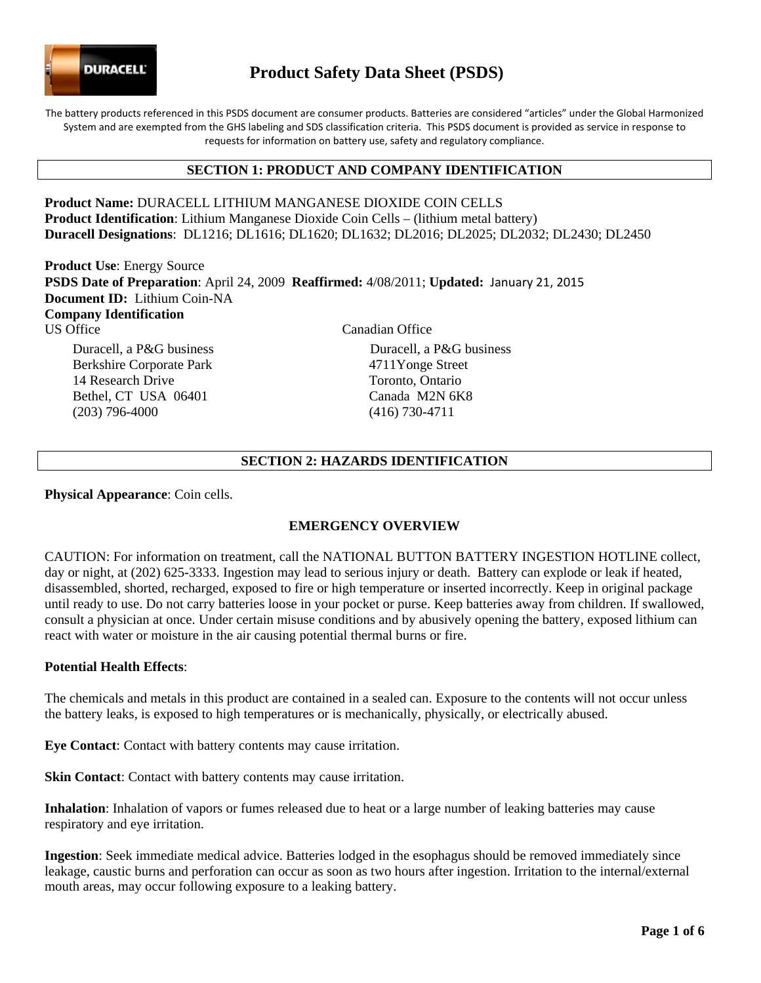

# **Product Safety Data Sheet (PSDS)**

The battery products referenced in this PSDS document are consumer products. Batteries are considered "articles" under the Global Harmonized System and are exempted from the GHS labeling and SDS classification criteria. This PSDS document is provided as service in response to requests for information on battery use, safety and regulatory compliance.

## **SECTION 1: PRODUCT AND COMPANY IDENTIFICATION**

**Product Name:** DURACELL LITHIUM MANGANESE DIOXIDE COIN CELLS **Product Identification**: Lithium Manganese Dioxide Coin Cells – (lithium metal battery) **Duracell Designations**: DL1216; DL1616; DL1620; DL1632; DL2016; DL2025; DL2032; DL2430; DL2450

**Product Use**: Energy Source **PSDS Date of Preparation**: April 24, 2009 **Reaffirmed:** 4/08/2011; **Updated:** January 21, 2015 **Document ID:** Lithium Coin-NA **Company Identification**  US Office Canadian Office Duracell, a P&G business Duracell, a P&G business

Berkshire Corporate Park 14 Research Drive Bethel, CT USA 06401 (203) 796-4000

4711Yonge Street Toronto, Ontario Canada M2N 6K8 (416) 730-4711

## **SECTION 2: HAZARDS IDENTIFICATION**

**Physical Appearance**: Coin cells.

## **EMERGENCY OVERVIEW**

CAUTION: For information on treatment, call the NATIONAL BUTTON BATTERY INGESTION HOTLINE collect, day or night, at (202) 625-3333. Ingestion may lead to serious injury or death. Battery can explode or leak if heated, disassembled, shorted, recharged, exposed to fire or high temperature or inserted incorrectly. Keep in original package until ready to use. Do not carry batteries loose in your pocket or purse. Keep batteries away from children. If swallowed, consult a physician at once. Under certain misuse conditions and by abusively opening the battery, exposed lithium can react with water or moisture in the air causing potential thermal burns or fire.

### **Potential Health Effects**:

The chemicals and metals in this product are contained in a sealed can. Exposure to the contents will not occur unless the battery leaks, is exposed to high temperatures or is mechanically, physically, or electrically abused.

**Eye Contact**: Contact with battery contents may cause irritation.

**Skin Contact:** Contact with battery contents may cause irritation.

**Inhalation**: Inhalation of vapors or fumes released due to heat or a large number of leaking batteries may cause respiratory and eye irritation.

**Ingestion**: Seek immediate medical advice. Batteries lodged in the esophagus should be removed immediately since leakage, caustic burns and perforation can occur as soon as two hours after ingestion. Irritation to the internal/external mouth areas, may occur following exposure to a leaking battery.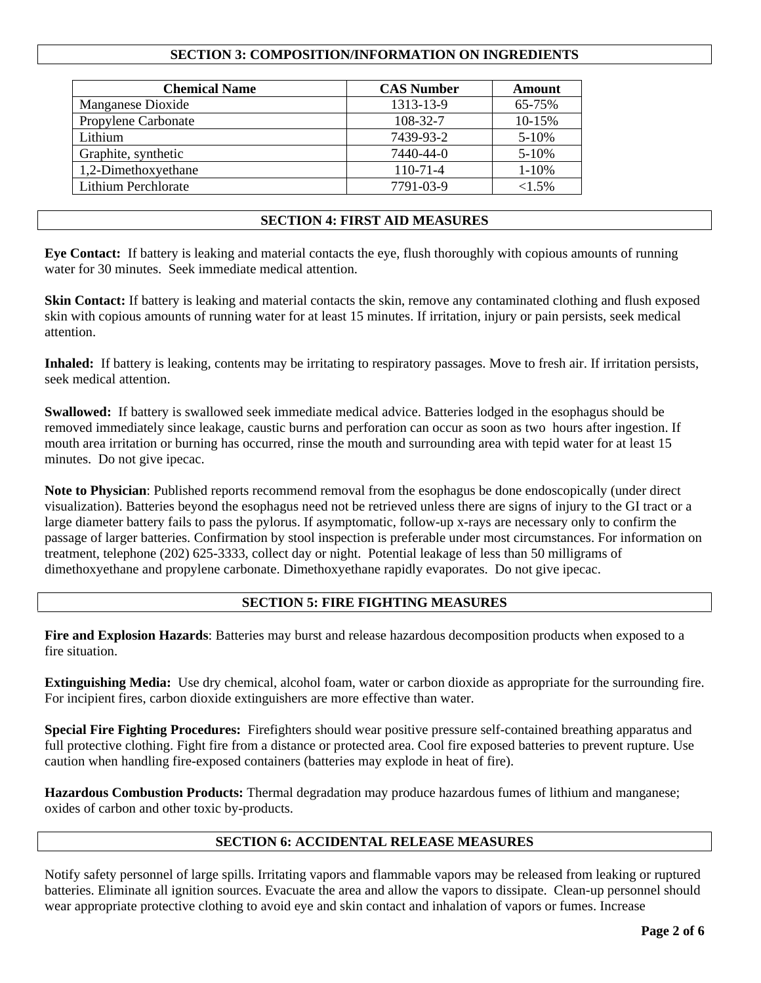# **SECTION 3: COMPOSITION/INFORMATION ON INGREDIENTS**

| <b>Chemical Name</b> | <b>CAS Number</b> | Amount    |
|----------------------|-------------------|-----------|
| Manganese Dioxide    | 1313-13-9         | 65-75%    |
| Propylene Carbonate  | 108-32-7          | 10-15%    |
| Lithium              | 7439-93-2         | 5-10%     |
| Graphite, synthetic  | 7440-44-0         | $5 - 10%$ |
| 1,2-Dimethoxyethane  | $110 - 71 - 4$    | $1 - 10%$ |
| Lithium Perchlorate  | 7791-03-9         | $<1.5\%$  |

### **SECTION 4: FIRST AID MEASURES**

**Eye Contact:** If battery is leaking and material contacts the eye, flush thoroughly with copious amounts of running water for 30 minutes. Seek immediate medical attention.

**Skin Contact:** If battery is leaking and material contacts the skin, remove any contaminated clothing and flush exposed skin with copious amounts of running water for at least 15 minutes. If irritation, injury or pain persists, seek medical attention.

**Inhaled:** If battery is leaking, contents may be irritating to respiratory passages. Move to fresh air. If irritation persists, seek medical attention.

**Swallowed:** If battery is swallowed seek immediate medical advice. Batteries lodged in the esophagus should be removed immediately since leakage, caustic burns and perforation can occur as soon as two hours after ingestion. If mouth area irritation or burning has occurred, rinse the mouth and surrounding area with tepid water for at least 15 minutes. Do not give ipecac.

**Note to Physician**: Published reports recommend removal from the esophagus be done endoscopically (under direct visualization). Batteries beyond the esophagus need not be retrieved unless there are signs of injury to the GI tract or a large diameter battery fails to pass the pylorus. If asymptomatic, follow-up x-rays are necessary only to confirm the passage of larger batteries. Confirmation by stool inspection is preferable under most circumstances. For information on treatment, telephone (202) 625-3333, collect day or night. Potential leakage of less than 50 milligrams of dimethoxyethane and propylene carbonate. Dimethoxyethane rapidly evaporates. Do not give ipecac.

### **SECTION 5: FIRE FIGHTING MEASURES**

**Fire and Explosion Hazards**: Batteries may burst and release hazardous decomposition products when exposed to a fire situation.

**Extinguishing Media:** Use dry chemical, alcohol foam, water or carbon dioxide as appropriate for the surrounding fire. For incipient fires, carbon dioxide extinguishers are more effective than water.

**Special Fire Fighting Procedures:** Firefighters should wear positive pressure self-contained breathing apparatus and full protective clothing. Fight fire from a distance or protected area. Cool fire exposed batteries to prevent rupture. Use caution when handling fire-exposed containers (batteries may explode in heat of fire).

**Hazardous Combustion Products:** Thermal degradation may produce hazardous fumes of lithium and manganese; oxides of carbon and other toxic by-products.

# **SECTION 6: ACCIDENTAL RELEASE MEASURES**

Notify safety personnel of large spills. Irritating vapors and flammable vapors may be released from leaking or ruptured batteries. Eliminate all ignition sources. Evacuate the area and allow the vapors to dissipate. Clean-up personnel should wear appropriate protective clothing to avoid eye and skin contact and inhalation of vapors or fumes. Increase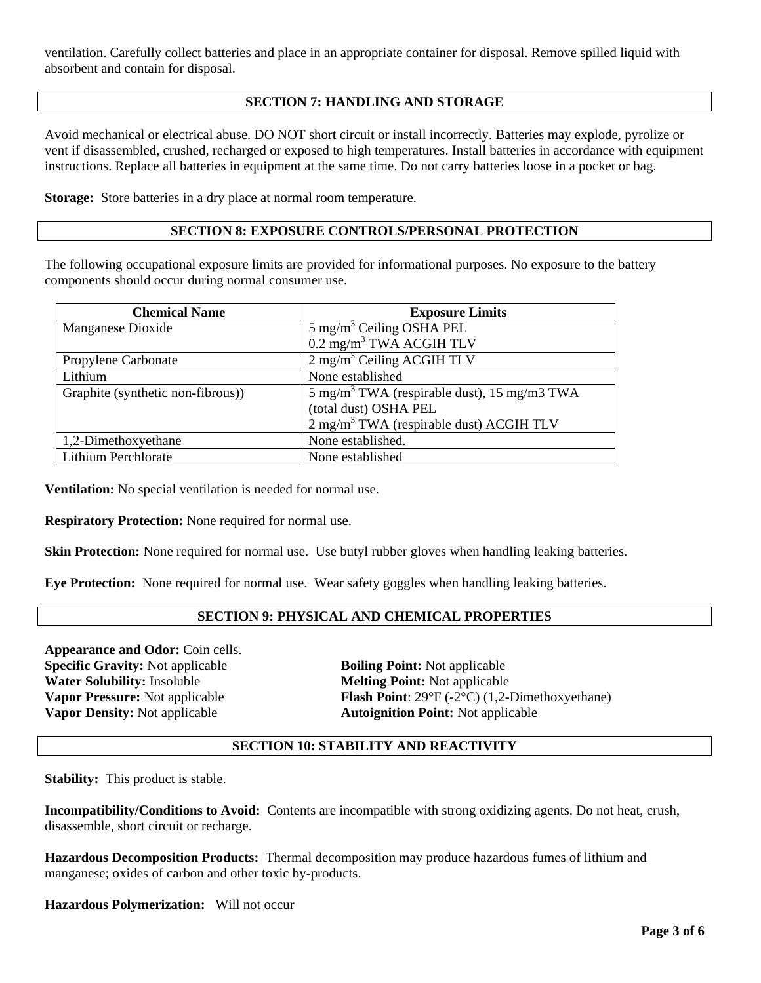ventilation. Carefully collect batteries and place in an appropriate container for disposal. Remove spilled liquid with absorbent and contain for disposal.

# **SECTION 7: HANDLING AND STORAGE**

Avoid mechanical or electrical abuse. DO NOT short circuit or install incorrectly. Batteries may explode, pyrolize or vent if disassembled, crushed, recharged or exposed to high temperatures. Install batteries in accordance with equipment instructions. Replace all batteries in equipment at the same time. Do not carry batteries loose in a pocket or bag.

**Storage:** Store batteries in a dry place at normal room temperature.

### **SECTION 8: EXPOSURE CONTROLS/PERSONAL PROTECTION**

The following occupational exposure limits are provided for informational purposes. No exposure to the battery components should occur during normal consumer use.

| <b>Chemical Name</b>              | <b>Exposure Limits</b>                                  |  |  |
|-----------------------------------|---------------------------------------------------------|--|--|
| Manganese Dioxide                 | $5 \text{ mg/m}^3$ Ceiling OSHA PEL                     |  |  |
|                                   | $0.2 \text{ mg/m}^3$ TWA ACGIH TLV                      |  |  |
| Propylene Carbonate               | $2$ mg/m <sup>3</sup> Ceiling ACGIH TLV                 |  |  |
| Lithium                           | None established                                        |  |  |
| Graphite (synthetic non-fibrous)) | 5 mg/m <sup>3</sup> TWA (respirable dust), 15 mg/m3 TWA |  |  |
|                                   | (total dust) OSHA PEL                                   |  |  |
|                                   | $2$ mg/m <sup>3</sup> TWA (respirable dust) ACGIH TLV   |  |  |
| 1,2-Dimethoxyethane               | None established.                                       |  |  |
| Lithium Perchlorate               | None established                                        |  |  |

**Ventilation:** No special ventilation is needed for normal use.

**Respiratory Protection:** None required for normal use.

**Skin Protection:** None required for normal use. Use butyl rubber gloves when handling leaking batteries.

**Eye Protection:** None required for normal use. Wear safety goggles when handling leaking batteries.

# **SECTION 9: PHYSICAL AND CHEMICAL PROPERTIES**

**Appearance and Odor:** Coin cells. **Specific Gravity:** Not applicable **Boiling Point:** Not applicable **Water Solubility:** Insoluble **Melting Point:** Not applicable **Vapor Density:** Not applicable **Autoignition Point:** Not applicable

**Vapor Pressure:** Not applicable **Flash Point**: 29°F (-2°C) (1,2-Dimethoxyethane)

### **SECTION 10: STABILITY AND REACTIVITY**

**Stability:** This product is stable.

**Incompatibility/Conditions to Avoid:** Contents are incompatible with strong oxidizing agents. Do not heat, crush, disassemble, short circuit or recharge.

**Hazardous Decomposition Products:** Thermal decomposition may produce hazardous fumes of lithium and manganese; oxides of carbon and other toxic by-products.

**Hazardous Polymerization:** Will not occur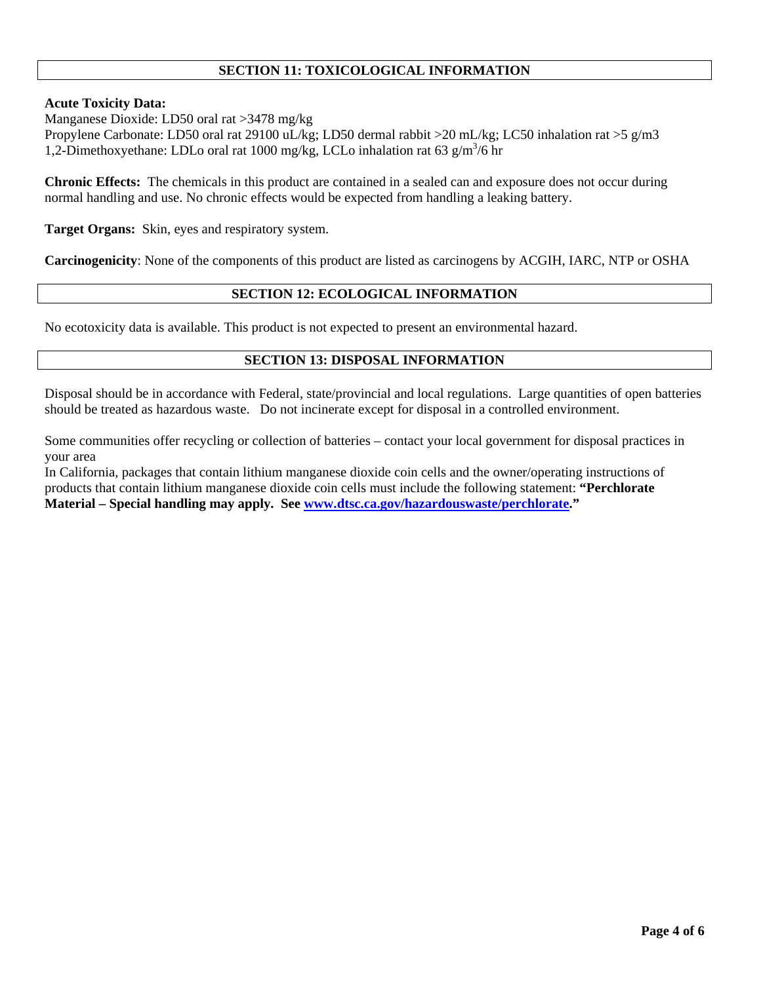# **SECTION 11: TOXICOLOGICAL INFORMATION**

### **Acute Toxicity Data:**

Manganese Dioxide: LD50 oral rat >3478 mg/kg

Propylene Carbonate: LD50 oral rat 29100 uL/kg; LD50 dermal rabbit >20 mL/kg; LC50 inhalation rat >5 g/m3 1,2-Dimethoxyethane: LDLo oral rat 1000 mg/kg, LCLo inhalation rat 63 g/m<sup>3</sup>/6 hr

**Chronic Effects:** The chemicals in this product are contained in a sealed can and exposure does not occur during normal handling and use. No chronic effects would be expected from handling a leaking battery.

**Target Organs:** Skin, eyes and respiratory system.

**Carcinogenicity**: None of the components of this product are listed as carcinogens by ACGIH, IARC, NTP or OSHA

# **SECTION 12: ECOLOGICAL INFORMATION**

No ecotoxicity data is available. This product is not expected to present an environmental hazard.

### **SECTION 13: DISPOSAL INFORMATION**

Disposal should be in accordance with Federal, state/provincial and local regulations. Large quantities of open batteries should be treated as hazardous waste. Do not incinerate except for disposal in a controlled environment.

Some communities offer recycling or collection of batteries – contact your local government for disposal practices in your area

In California, packages that contain lithium manganese dioxide coin cells and the owner/operating instructions of products that contain lithium manganese dioxide coin cells must include the following statement: **"Perchlorate Material – Special handling may apply. See www.dtsc.ca.gov/hazardouswaste/perchlorate."**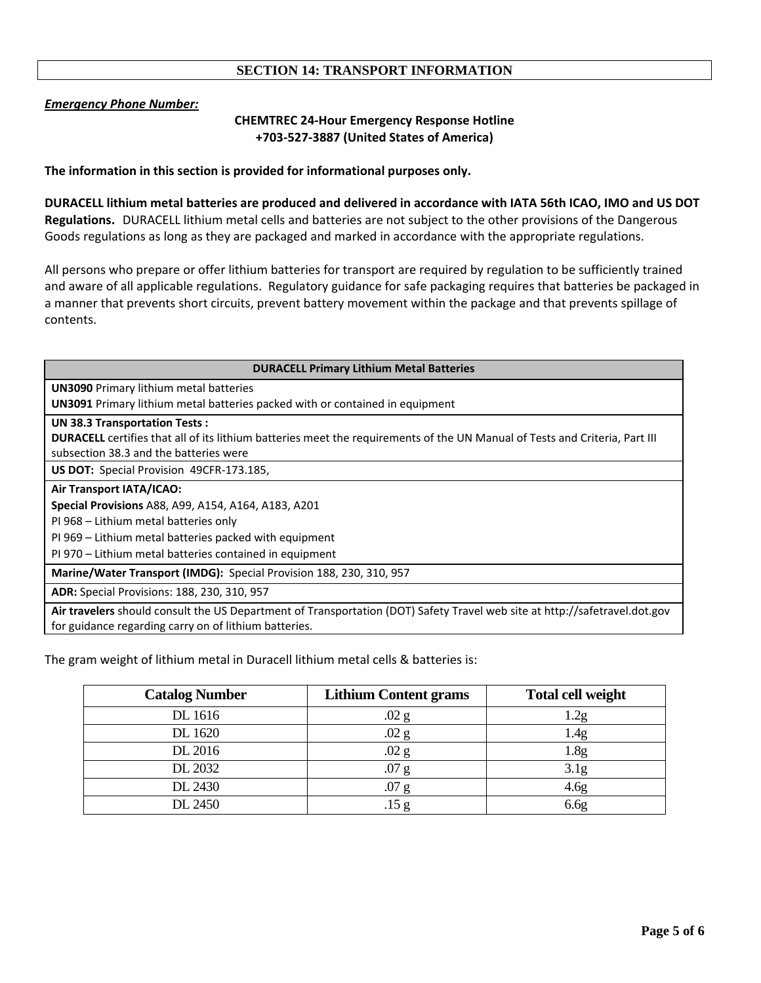# **SECTION 14: TRANSPORT INFORMATION**

### *Emergency Phone Number:*

# **CHEMTREC 24‐Hour Emergency Response Hotline +703‐527‐3887 (United States of America)**

**The information in this section is provided for informational purposes only.**

DURACELL lithium metal batteries are produced and delivered in accordance with IATA 56th ICAO, IMO and US DOT **Regulations.** DURACELL lithium metal cells and batteries are not subject to the other provisions of the Dangerous Goods regulations as long as they are packaged and marked in accordance with the appropriate regulations.

All persons who prepare or offer lithium batteries for transport are required by regulation to be sufficiently trained and aware of all applicable regulations. Regulatory guidance for safe packaging requires that batteries be packaged in a manner that prevents short circuits, prevent battery movement within the package and that prevents spillage of contents.

# **DURACELL Primary Lithium Metal Batteries UN3090** Primary lithium metal batteries **UN3091** Primary lithium metal batteries packed with or contained in equipment **UN 38.3 Transportation Tests : DURACELL** certifies that all of its lithium batteries meet the requirements of the UN Manual of Tests and Criteria, Part III subsection 38.3 and the batteries were **US DOT:** Special Provision 49CFR‐173.185, **Air Transport IATA/ICAO: Special Provisions** A88, A99, A154, A164, A183, A201 PI 968 – Lithium metal batteries only PI 969 – Lithium metal batteries packed with equipment PI 970 – Lithium metal batteries contained in equipment **Marine/Water Transport (IMDG):** Special Provision 188, 230, 310, 957 **ADR:** Special Provisions: 188, 230, 310, 957 **Air travelers** should consult the US Department of Transportation (DOT) Safety Travel web site at http://safetravel.dot.gov for guidance regarding carry on of lithium batteries.

The gram weight of lithium metal in Duracell lithium metal cells & batteries is:

| <b>Catalog Number</b> | <b>Lithium Content grams</b> | <b>Total cell weight</b> |
|-----------------------|------------------------------|--------------------------|
| DL 1616               | $.02$ g                      | 2g                       |
| DL 1620               | .02 <sub>g</sub>             | 1.4g                     |
| DL 2016               | .02 <sub>g</sub>             | 1.8 <sub>g</sub>         |
| DL 2032               | .07 <sub>g</sub>             | 3.1 <sub>g</sub>         |
| DL 2430               | .07 <sub>g</sub>             | 4.6 <sub>g</sub>         |
| DL 2450               | .15 g                        | 6.6 <sub>g</sub>         |